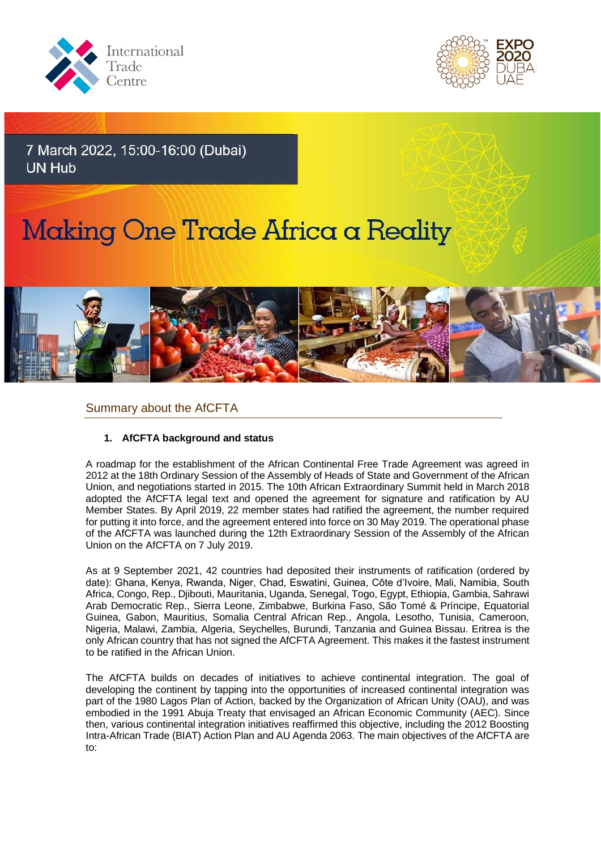



7 March 2022, 15:00-16:00 (Dubai) **UN Hub** 

# Making One Trade Africa a Reality



## Summary about the AfCFTA

### **1. AfCFTA background and status**

A roadmap for the establishment of the African Continental Free Trade Agreement was agreed in 2012 at the 18th Ordinary Session of the Assembly of Heads of State and Government of the African Union, and negotiations started in 2015. The 10th African Extraordinary Summit held in March 2018 adopted the AfCFTA legal text and opened the agreement for signature and ratification by AU Member States. By April 2019, 22 member states had ratified the agreement, the number required for putting it into force, and the agreement entered into force on 30 May 2019. The operational phase of the AfCFTA was launched during the 12th Extraordinary Session of the Assembly of the African Union on the AfCFTA on 7 July 2019.

As at 9 September 2021, 42 countries had deposited their instruments of ratification (ordered by date): Ghana, Kenya, Rwanda, Niger, Chad, Eswatini, Guinea, Côte d'Ivoire, Mali, Namibia, South Africa, Congo, Rep., Djibouti, Mauritania, Uganda, Senegal, Togo, Egypt, Ethiopia, Gambia, Sahrawi Arab Democratic Rep., Sierra Leone, Zimbabwe, Burkina Faso, São Tomé & Príncipe, Equatorial Guinea, Gabon, Mauritius, Somalia Central African Rep., Angola, Lesotho, Tunisia, Cameroon, Nigeria, Malawi, Zambia, Algeria, Seychelles, Burundi, Tanzania and Guinea Bissau. Eritrea is the only African country that has not signed the AfCFTA Agreement. This makes it the fastest instrument to be ratified in the African Union.

The AfCFTA builds on decades of initiatives to achieve continental integration. The goal of developing the continent by tapping into the opportunities of increased continental integration was part of the 1980 Lagos Plan of Action, backed by the Organization of African Unity (OAU), and was embodied in the 1991 Abuja Treaty that envisaged an African Economic Community (AEC). Since then, various continental integration initiatives reaffirmed this objective, including the 2012 Boosting Intra-African Trade (BIAT) Action Plan and AU Agenda 2063. The main objectives of the AfCFTA are to: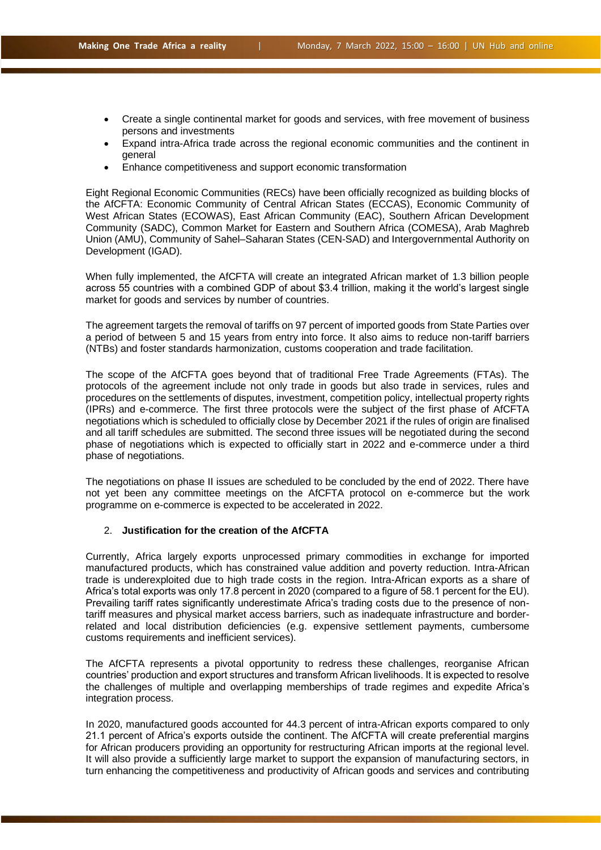- Create a single continental market for goods and services, with free movement of business persons and investments
- Expand intra-Africa trade across the regional economic communities and the continent in general
- Enhance competitiveness and support economic transformation

Eight Regional Economic Communities (RECs) have been officially recognized as building blocks of the AfCFTA: Economic Community of Central African States (ECCAS), Economic Community of West African States (ECOWAS), East African Community (EAC), Southern African Development Community (SADC), Common Market for Eastern and Southern Africa (COMESA), Arab Maghreb Union (AMU), Community of Sahel–Saharan States (CEN-SAD) and Intergovernmental Authority on Development (IGAD).

When fully implemented, the AfCFTA will create an integrated African market of 1.3 billion people across 55 countries with a combined GDP of about \$3.4 trillion, making it the world's largest single market for goods and services by number of countries.

The agreement targets the removal of tariffs on 97 percent of imported goods from State Parties over a period of between 5 and 15 years from entry into force. It also aims to reduce non-tariff barriers (NTBs) and foster standards harmonization, customs cooperation and trade facilitation.

The scope of the AfCFTA goes beyond that of traditional Free Trade Agreements (FTAs). The protocols of the agreement include not only trade in goods but also trade in services, rules and procedures on the settlements of disputes, investment, competition policy, intellectual property rights (IPRs) and e-commerce. The first three protocols were the subject of the first phase of AfCFTA negotiations which is scheduled to officially close by December 2021 if the rules of origin are finalised and all tariff schedules are submitted. The second three issues will be negotiated during the second phase of negotiations which is expected to officially start in 2022 and e-commerce under a third phase of negotiations.

The negotiations on phase II issues are scheduled to be concluded by the end of 2022. There have not yet been any committee meetings on the AfCFTA protocol on e-commerce but the work programme on e-commerce is expected to be accelerated in 2022.

#### 2. **Justification for the creation of the AfCFTA**

Currently, Africa largely exports unprocessed primary commodities in exchange for imported manufactured products, which has constrained value addition and poverty reduction. Intra-African trade is underexploited due to high trade costs in the region. Intra-African exports as a share of Africa's total exports was only 17.8 percent in 2020 (compared to a figure of 58.1 percent for the EU). Prevailing tariff rates significantly underestimate Africa's trading costs due to the presence of nontariff measures and physical market access barriers, such as inadequate infrastructure and borderrelated and local distribution deficiencies (e.g. expensive settlement payments, cumbersome customs requirements and inefficient services).

The AfCFTA represents a pivotal opportunity to redress these challenges, reorganise African countries' production and export structures and transform African livelihoods. It is expected to resolve the challenges of multiple and overlapping memberships of trade regimes and expedite Africa's integration process.

In 2020, manufactured goods accounted for 44.3 percent of intra-African exports compared to only 21.1 percent of Africa's exports outside the continent. The AfCFTA will create preferential margins for African producers providing an opportunity for restructuring African imports at the regional level. It will also provide a sufficiently large market to support the expansion of manufacturing sectors, in turn enhancing the competitiveness and productivity of African goods and services and contributing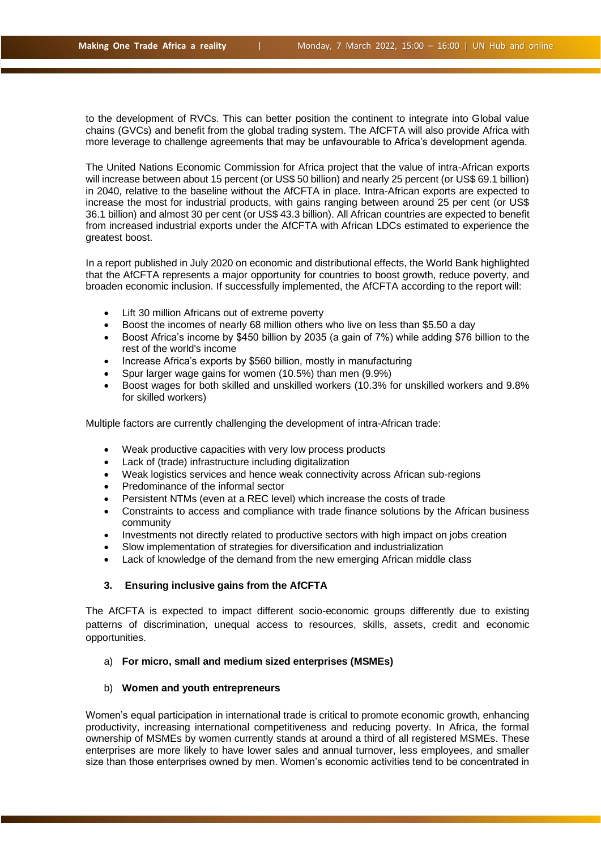to the development of RVCs. This can better position the continent to integrate into Global value chains (GVCs) and benefit from the global trading system. The AfCFTA will also provide Africa with more leverage to challenge agreements that may be unfavourable to Africa's development agenda.

The United Nations Economic Commission for Africa project that the value of intra-African exports will increase between about 15 percent (or US\$ 50 billion) and nearly 25 percent (or US\$ 69.1 billion) in 2040, relative to the baseline without the AfCFTA in place. Intra-African exports are expected to increase the most for industrial products, with gains ranging between around 25 per cent (or US\$ 36.1 billion) and almost 30 per cent (or US\$ 43.3 billion). All African countries are expected to benefit from increased industrial exports under the AfCFTA with African LDCs estimated to experience the greatest boost.

In a report published in July 2020 on economic and distributional effects, the World Bank highlighted that the AfCFTA represents a major opportunity for countries to boost growth, reduce poverty, and broaden economic inclusion. If successfully implemented, the AfCFTA according to the report will:

- Lift 30 million Africans out of extreme poverty
- Boost the incomes of nearly 68 million others who live on less than \$5.50 a day
- Boost Africa's income by \$450 billion by 2035 (a gain of 7%) while adding \$76 billion to the rest of the world's income
- Increase Africa's exports by \$560 billion, mostly in manufacturing
- Spur larger wage gains for women (10.5%) than men (9.9%)
- Boost wages for both skilled and unskilled workers (10.3% for unskilled workers and 9.8% for skilled workers)

Multiple factors are currently challenging the development of intra-African trade:

- Weak productive capacities with very low process products
- Lack of (trade) infrastructure including digitalization
- Weak logistics services and hence weak connectivity across African sub-regions
- Predominance of the informal sector
- Persistent NTMs (even at a REC level) which increase the costs of trade
- Constraints to access and compliance with trade finance solutions by the African business community
- Investments not directly related to productive sectors with high impact on jobs creation
- Slow implementation of strategies for diversification and industrialization
- Lack of knowledge of the demand from the new emerging African middle class

#### **3. Ensuring inclusive gains from the AfCFTA**

The AfCFTA is expected to impact different socio-economic groups differently due to existing patterns of discrimination, unequal access to resources, skills, assets, credit and economic opportunities.

#### a) **For micro, small and medium sized enterprises (MSMEs)**

#### b) **Women and youth entrepreneurs**

Women's equal participation in international trade is critical to promote economic growth, enhancing productivity, increasing international competitiveness and reducing poverty. In Africa, the formal ownership of MSMEs by women currently stands at around a third of all registered MSMEs. These enterprises are more likely to have lower sales and annual turnover, less employees, and smaller size than those enterprises owned by men. Women's economic activities tend to be concentrated in